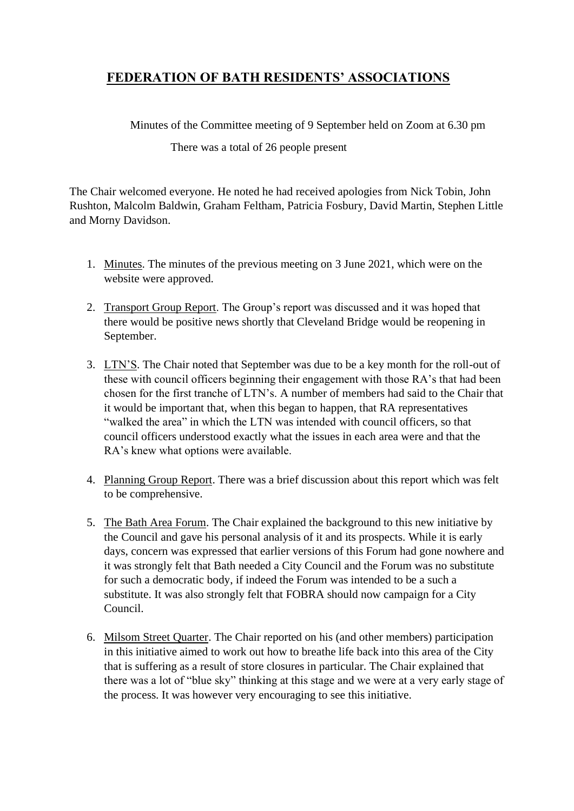## **FEDERATION OF BATH RESIDENTS' ASSOCIATIONS**

Minutes of the Committee meeting of 9 September held on Zoom at 6.30 pm

## There was a total of 26 people present

The Chair welcomed everyone. He noted he had received apologies from Nick Tobin, John Rushton, Malcolm Baldwin, Graham Feltham, Patricia Fosbury, David Martin, Stephen Little and Morny Davidson.

- 1. Minutes. The minutes of the previous meeting on 3 June 2021, which were on the website were approved.
- 2. Transport Group Report. The Group's report was discussed and it was hoped that there would be positive news shortly that Cleveland Bridge would be reopening in September.
- 3. LTN'S. The Chair noted that September was due to be a key month for the roll-out of these with council officers beginning their engagement with those RA's that had been chosen for the first tranche of LTN's. A number of members had said to the Chair that it would be important that, when this began to happen, that RA representatives "walked the area" in which the LTN was intended with council officers, so that council officers understood exactly what the issues in each area were and that the RA's knew what options were available.
- 4. Planning Group Report. There was a brief discussion about this report which was felt to be comprehensive.
- 5. The Bath Area Forum. The Chair explained the background to this new initiative by the Council and gave his personal analysis of it and its prospects. While it is early days, concern was expressed that earlier versions of this Forum had gone nowhere and it was strongly felt that Bath needed a City Council and the Forum was no substitute for such a democratic body, if indeed the Forum was intended to be a such a substitute. It was also strongly felt that FOBRA should now campaign for a City Council.
- 6. Milsom Street Quarter. The Chair reported on his (and other members) participation in this initiative aimed to work out how to breathe life back into this area of the City that is suffering as a result of store closures in particular. The Chair explained that there was a lot of "blue sky" thinking at this stage and we were at a very early stage of the process. It was however very encouraging to see this initiative.